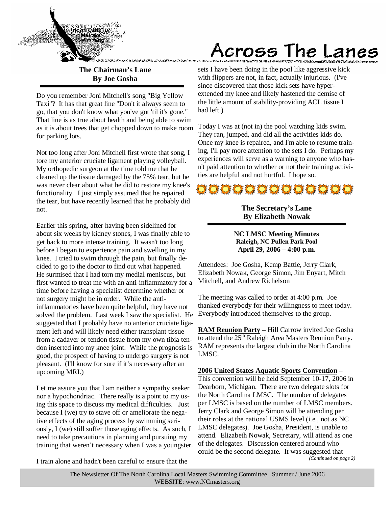

**The Chairman's Lane By Joe Gosha** 

Do you remember Joni Mitchell's song "Big Yellow Taxi"? It has that great line "Don't it always seem to go, that you don't know what you've got 'til it's gone." That line is as true about health and being able to swim as it is about trees that get chopped down to make room for parking lots.

Not too long after Joni Mitchell first wrote that song, I tore my anterior cruciate ligament playing volleyball. My orthopedic surgeon at the time told me that he cleaned up the tissue damaged by the 75% tear, but he was never clear about what he did to restore my knee's functionality. I just simply assumed that he repaired the tear, but have recently learned that he probably did not.

Earlier this spring, after having been sidelined for about six weeks by kidney stones, I was finally able to get back to more intense training. It wasn't too long before I began to experience pain and swelling in my knee. I tried to swim through the pain, but finally decided to go to the doctor to find out what happened. He surmised that I had torn my medial meniscus, but first wanted to treat me with an anti-inflammatory for a time before having a specialist determine whether or not surgery might be in order. While the antiinflammatories have been quite helpful, they have not solved the problem. Last week I saw the specialist. He suggested that I probably have no anterior cruciate ligament left and will likely need either transplant tissue from a cadaver or tendon tissue from my own tibia tendon inserted into my knee joint. While the prognosis is good, the prospect of having to undergo surgery is not pleasant. (I'll know for sure if it's necessary after an upcoming MRI.)

Let me assure you that I am neither a sympathy seeker nor a hypochondriac. There really is a point to my using this space to discuss my medical difficulties. Just because I (we) try to stave off or ameliorate the negative effects of the aging process by swimming seriously, I (we) still suffer those aging effects. As such, I need to take precautions in planning and pursuing my training that weren't necessary when I was a youngster.

# Across The Lanes

sets I have been doing in the pool like aggressive kick with flippers are not, in fact, actually injurious. (I've since discovered that those kick sets have hyperextended my knee and likely hastened the demise of the little amount of stability-providing ACL tissue I had left.)

Today I was at (not in) the pool watching kids swim. They ran, jumped, and did all the activities kids do. Once my knee is repaired, and I'm able to resume training, I'll pay more attention to the sets I do. Perhaps my experiences will serve as a warning to anyone who hasn't paid attention to whether or not their training activities are helpful and not hurtful. I hope so.



### **The Secretary's Lane By Elizabeth Nowak**

**NC LMSC Meeting Minutes Raleigh, NC Pullen Park Pool April 29, 2006 – 4:00 p.m.** 

Attendees: Joe Gosha, Kemp Battle, Jerry Clark, Elizabeth Nowak, George Simon, Jim Enyart, Mitch Mitchell, and Andrew Richelson

The meeting was called to order at 4:00 p.m. Joe thanked everybody for their willingness to meet today. Everybody introduced themselves to the group.

**RAM Reunion Party –** Hill Carrow invited Joe Gosha to attend the 25<sup>th</sup> Raleigh Area Masters Reunion Party. RAM represents the largest club in the North Carolina LMSC.

**2006 United States Aquatic Sports Convention** –

This convention will be held September 10-17, 2006 in Dearborn, Michigan. There are two delegate slots for the North Carolina LMSC. The number of delegates per LMSC is based on the number of LMSC members. Jerry Clark and George Simon will be attending per their roles at the national USMS level (i.e., not as NC LMSC delegates). Joe Gosha, President, is unable to attend. Elizabeth Nowak, Secretary, will attend as one of the delegates. Discussion centered around who could be the second delegate. It was suggested that *(Continued on page 2)* 

I train alone and hadn't been careful to ensure that the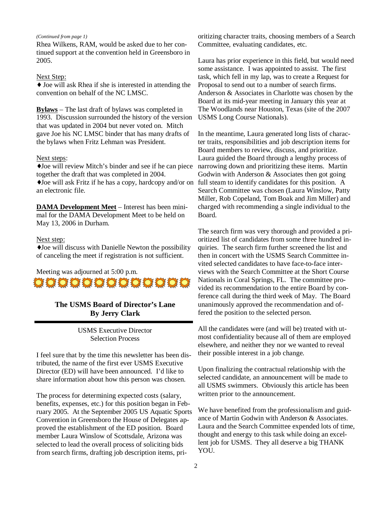#### *(Continued from page 1)*

Rhea Wilkens, RAM, would be asked due to her continued support at the convention held in Greensboro in 2005.

#### Next Step:

♦ Joe will ask Rhea if she is interested in attending the convention on behalf of the NC LMSC.

**Bylaws** – The last draft of bylaws was completed in 1993. Discussion surrounded the history of the version that was updated in 2004 but never voted on. Mitch gave Joe his NC LMSC binder that has many drafts of the bylaws when Fritz Lehman was President.

#### Next steps:

♦Joe will review Mitch's binder and see if he can piece together the draft that was completed in 2004.

♦Joe will ask Fritz if he has a copy, hardcopy and/or on an electronic file.

**DAMA Development Meet** – Interest has been minimal for the DAMA Development Meet to be held on May 13, 2006 in Durham.

#### Next step:

♦Joe will discuss with Danielle Newton the possibility of canceling the meet if registration is not sufficient.

Meeting was adjourned at 5:00 p.m.



### **The USMS Board of Director's Lane By Jerry Clark**

USMS Executive Director Selection Process

I feel sure that by the time this newsletter has been distributed, the name of the first ever USMS Executive Director (ED) will have been announced. I'd like to share information about how this person was chosen.

The process for determining expected costs (salary, benefits, expenses, etc.) for this position began in February 2005. At the September 2005 US Aquatic Sports Convention in Greensboro the House of Delegates approved the establishment of the ED position. Board member Laura Winslow of Scottsdale, Arizona was selected to lead the overall process of soliciting bids from search firms, drafting job description items, pri-

oritizing character traits, choosing members of a Search Committee, evaluating candidates, etc.

Laura has prior experience in this field, but would need some assistance. I was appointed to assist. The first task, which fell in my lap, was to create a Request for Proposal to send out to a number of search firms. Anderson & Associates in Charlotte was chosen by the Board at its mid-year meeting in January this year at The Woodlands near Houston, Texas (site of the 2007 USMS Long Course Nationals).

In the meantime, Laura generated long lists of character traits, responsibilities and job description items for Board members to review, discuss, and prioritize. Laura guided the Board through a lengthy process of narrowing down and prioritizing these items. Martin Godwin with Anderson & Associates then got going full steam to identify candidates for this position. A Search Committee was chosen (Laura Winslow, Patty Miller, Rob Copeland, Tom Boak and Jim Miller) and charged with recommending a single individual to the Board.

The search firm was very thorough and provided a prioritized list of candidates from some three hundred inquiries. The search firm further screened the list and then in concert with the USMS Search Committee invited selected candidates to have face-to-face interviews with the Search Committee at the Short Course Nationals in Coral Springs, FL. The committee provided its recommendation to the entire Board by conference call during the third week of May. The Board unanimously approved the recommendation and offered the position to the selected person.

All the candidates were (and will be) treated with utmost confidentiality because all of them are employed elsewhere, and neither they nor we wanted to reveal their possible interest in a job change.

Upon finalizing the contractual relationship with the selected candidate, an announcement will be made to all USMS swimmers. Obviously this article has been written prior to the announcement.

We have benefited from the professionalism and guidance of Martin Godwin with Anderson & Associates. Laura and the Search Committee expended lots of time, thought and energy to this task while doing an excellent job for USMS. They all deserve a big THANK YOU.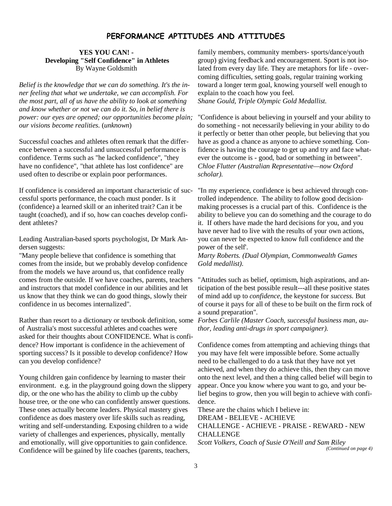### PERFORMANCE APTITUDES AND ATTITUDES

#### **YES YOU CAN! - Developing "Self Confidence" in Athletes**  By Wayne Goldsmith

*Belief is the knowledge that we can do something. It's the inner feeling that what we undertake, we can accomplish. For the most part, all of us have the ability to look at something and know whether or not we can do it. So, in belief there is power: our eyes are opened; our opportunities become plain; our visions become realities.* (*unknown*)

Successful coaches and athletes often remark that the difference between a successful and unsuccessful performance is confidence. Terms such as "he lacked confidence", "they have no confidence", "that athlete has lost confidence" are used often to describe or explain poor performances.

If confidence is considered an important characteristic of successful sports performance, the coach must ponder. Is it (confidence) a learned skill or an inherited trait? Can it be taught (coached), and if so, how can coaches develop confident athletes?

Leading Australian-based sports psychologist, Dr Mark Andersen suggests:

"Many people believe that confidence is something that comes from the inside, but we probably develop confidence from the models we have around us, that confidence really comes from the outside. If we have coaches, parents, teachers and instructors that model confidence in our abilities and let us know that they think we can do good things, slowly their confidence in us becomes internalized".

Rather than resort to a dictionary or textbook definition, some *Forbes Carlile (Master Coach, successful business man, au*of Australia's most successful athletes and coaches were asked for their thoughts about CONFIDENCE. What is confidence? How important is confidence in the achievement of sporting success? Is it possible to develop confidence? How can you develop confidence?

Young children gain confidence by learning to master their environment. e.g. in the playground going down the slippery dip, or the one who has the ability to climb up the cubby house tree, or the one who can confidently answer questions. These ones actually become leaders. Physical mastery gives confidence as does mastery over life skills such as reading, writing and self-understanding. Exposing children to a wide variety of challenges and experiences, physically, mentally and emotionally, will give opportunities to gain confidence. Confidence will be gained by life coaches (parents, teachers,

family members, community members- sports/dance/youth group) giving feedback and encouragement. Sport is not isolated from every day life. They are metaphors for life - overcoming difficulties, setting goals, regular training working toward a longer term goal, knowing yourself well enough to explain to the coach how you feel. *Shane Gould, Triple Olympic Gold Medallist.* 

"Confidence is about believing in yourself and your ability to do something - not necessarily believing in your ability to do it perfectly or better than other people, but believing that you have as good a chance as anyone to achieve something. Confidence is having the courage to get up and try and face whatever the outcome is - good, bad or something in between". *Chloe Flutter (Australian Representative—now Oxford scholar).* 

"In my experience, confidence is best achieved through controlled independence. The ability to follow good decisionmaking processes is a crucial part of this. Confidence is the ability to believe you can do something and the courage to do it. If others have made the hard decisions for you, and you have never had to live with the results of your own actions, you can never be expected to know full confidence and the power of the self'.

*Marty Roberts. (Dual Olympian, Commonwealth Games Gold medallist).* 

"Attitudes such as belief, optimism, high aspirations, and anticipation of the best possible result---all these positive states of mind add up to *confidence,* the keystone for *success.* But of course it pays for all of these to be built on the firm rock of a sound preparation".

*thor, leading anti-drugs in sport campaigner).* 

Confidence comes from attempting and achieving things that you may have felt were impossible before. Some actually need to be challenged to do a task that they have not yet achieved, and when they do achieve this, then they can move onto the next level, and then a thing called belief will begin to appear. Once you know where you want to go, and your belief begins to grow, then you will begin to achieve with confidence.

These are the chains which I believe in: DREAM - BELIEVE - ACHIEVE CHALLENGE - ACHIEVE - PRAISE - REWARD - NEW CHALLENGE *Scott Volkers, Coach of Susie O'Neill and Sam Riley (Continued on page 4)*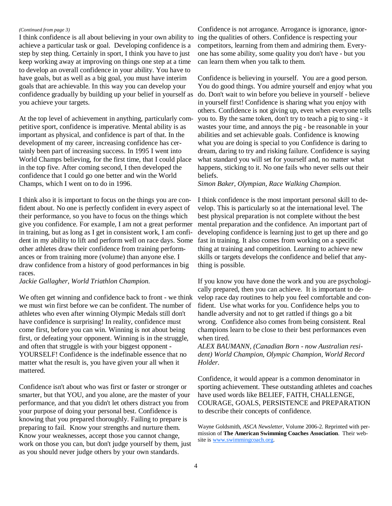#### *(Continued from page 3)*

achieve a particular task or goal. Developing confidence is a step by step thing. Certainly in sport, I think you have to just keep working away at improving on things one step at a time to develop an overall confidence in your ability. You have to have goals, but as well as a big goal, you must have interim goals that are achievable. In this way you can develop your confidence gradually by building up your belief in yourself as you achieve your targets.

At the top level of achievement in anything, particularly competitive sport, confidence is imperative. Mental ability is as important as physical, and confidence is part of that. In the development of my career, increasing confidence has certainly been part of increasing success. In 1995 I went into World Champs believing, for the first time, that I could place in the top five. After coming second, I then developed the confidence that I could go one better and win the World Champs, which I went on to do in 1996.

I think also it is important to focus on the things you are confident about. No one is perfectly confident in every aspect of their performance, so you have to focus on the things which give you confidence. For example, I am not a great performer in training, but as long as I get in consistent work, I am confident in my ability to lift and perform well on race days. Some other athletes draw their confidence from training performances or from training more (volume) than anyone else. I draw confidence from a history of good performances in big races.

*Jackie Gallagher, World Triathlon Champion.* 

We often get winning and confidence back to front - we think we must win first before we can be confident. The number of athletes who even after winning Olympic Medals still don't have confidence is surprising! In reality, confidence must come first, before you can win. Winning is not about being first, or defeating your opponent. Winning is in the struggle, and often that struggle is with your biggest opponent - YOURSELF! Confidence is the indefinable essence that no matter what the result is, you have given your all when it mattered.

Confidence isn't about who was first or faster or stronger or smarter, but that YOU, and you alone, are the master of your performance, and that you didn't let others distract you from your purpose of doing your personal best. Confidence is knowing that you prepared thoroughly. Failing to prepare is preparing to fail. Know your strengths and nurture them. Know your weaknesses, accept those you cannot change, work on those you can, but don't judge yourself by them, just as you should never judge others by your own standards.

I think confidence is all about believing in your own ability to ing the qualities of others. Confidence is respecting your Confidence is not arrogance. Arrogance is ignorance, ignorcompetitors, learning from them and admiring them. Everyone has some ability, some quality you don't have - but you can learn them when you talk to them.

> Confidence is believing in yourself. You are a good person. You do good things. You admire yourself and enjoy what you do. Don't wait to win before you believe in yourself - believe in yourself first! Confidence is sharing what you enjoy with others. Confidence is not giving up, even when everyone tells you to. By the same token, don't try to teach a pig to sing - it wastes your time, and annoys the pig - be reasonable in your abilities and set achievable goals. Confidence is knowing what you are doing is special to you Confidence is daring to dream, daring to try and risking failure. Confidence is saying what standard you will set for yourself and, no matter what happens, sticking to it. No one fails who never sells out their beliefs.

*Simon Baker, Olympian, Race Walking Champion.* 

I think confidence is the most important personal skill to develop. This is particularly so at the international level. The best physical preparation is not complete without the best mental preparation and the confidence. An important part of developing confidence is learning just to get up there and go fast in training. It also comes from working on a specific thing at training and competition. Learning to achieve new skills or targets develops the confidence and belief that anything is possible.

If you know you have done the work and you are psychologically prepared, then you can achieve. It is important to develop race day routines to help you feel comfortable and confident. Use what works for you. Confidence helps you to handle adversity and not to get rattled if things go a bit wrong. Confidence also comes from being consistent. Real champions learn to be close to their best performances even when tired.

*ALEX BAUMANN, (Canadian Born - now Australian resident) World Champion, Olympic Champion, World Record Holder.* 

Confidence, it would appear is a common denominator in sporting achievement. These outstanding athletes and coaches have used words like BELIEF, FAITH, CHALLENGE, COURAGE, GOALS, PERSISTENCE and PREPARATION to describe their concepts of confidence.

Wayne Goldsmith, *ASCA Newsletter*, Volume 2006-2. Reprinted with permission of **The American Swimming Coaches Association**. Their website is www.swimmingcoach.org.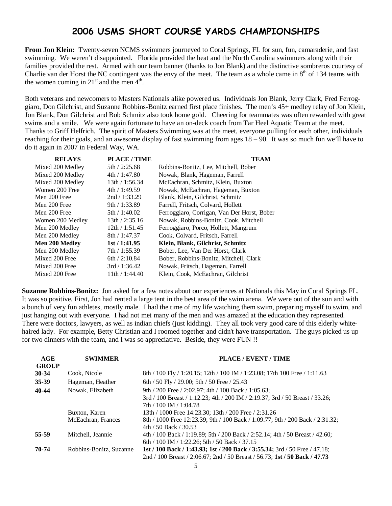### 2006 USMS SHORT COURSE YARDS CHAMPIONSHIPS

**From Jon Klein:** Twenty-seven NCMS swimmers journeyed to Coral Springs, FL for sun, fun, camaraderie, and fast swimming. We weren't disappointed. Florida provided the heat and the North Carolina swimmers along with their families provided the rest. Armed with our team banner (thanks to Jon Blank) and the distinctive sombreros courtesy of Charlie van der Horst the NC contingent was the envy of the meet. The team as a whole came in  $8<sup>th</sup>$  of 134 teams with the women coming in  $21<sup>st</sup>$  and the men  $4<sup>th</sup>$ .

Both veterans and newcomers to Masters Nationals alike powered us. Individuals Jon Blank, Jerry Clark, Fred Ferroggiaro, Don Gilchrist, and Suzanne Robbins-Bonitz earned first place finishes. The men's 45+ medley relay of Jon Klein, Jon Blank, Don Gilchrist and Bob Schmitz also took home gold. Cheering for teammates was often rewarded with great swims and a smile. We were again fortunate to have an on-deck coach from Tar Heel Aquatic Team at the meet. Thanks to Griff Helfrich. The spirit of Masters Swimming was at the meet, everyone pulling for each other, individuals reaching for their goals, and an awesome display of fast swimming from ages 18 – 90. It was so much fun we'll have to do it again in 2007 in Federal Way, WA.

| <b>RELAYS</b>         | <b>PLACE/TIME</b> | <b>TEAM</b>                                 |
|-----------------------|-------------------|---------------------------------------------|
| Mixed 200 Medley      | 5th/2:25.68       | Robbins-Bonitz, Lee, Mitchell, Bober        |
| Mixed 200 Medley      | 4th / 1:47.80     | Nowak, Blank, Hageman, Farrell              |
| Mixed 200 Medley      | 13th / 1:56.34    | McEachran, Schmitz, Klein, Buxton           |
| Women 200 Free        | 4th / 1:49.59     | Nowak, McEachran, Hageman, Buxton           |
| Men 200 Free          | 2nd / 1:33.29     | Blank, Klein, Gilchrist, Schmitz            |
| Men 200 Free          | 9th / 1:33.89     | Farrell, Fritsch, Colvard, Hollett          |
| Men 200 Free          | 5th/1:40.02       | Ferroggiaro, Corrigan, Van Der Horst, Bober |
| Women 200 Medley      | 13th / 2:35.16    | Nowak, Robbins-Bonitz, Cook, Mitchell       |
| Men 200 Medley        | 12th / 1:51.45    | Ferroggiaro, Porco, Hollett, Mangrum        |
| Men 200 Medley        | 8th / 1:47.37     | Cook, Colvard, Fritsch, Farrell             |
| <b>Men 200 Medley</b> | 1st/1:41.95       | Klein, Blank, Gilchrist, Schmitz            |
| Men 200 Medley        | 7th / 1:55.39     | Bober, Lee, Van Der Horst, Clark            |
| Mixed 200 Free        | 6th $/ 2:10.84$   | Bober, Robbins-Bonitz, Mitchell, Clark      |
| Mixed 200 Free        | 3rd/1:36.42       | Nowak, Fritsch, Hageman, Farrell            |
| Mixed 200 Free        | 11th / 1:44.40    | Klein, Cook, McEachran, Gilchrist           |

**Suzanne Robbins-Bonitz:** Jon asked for a few notes about our experiences at Nationals this May in Coral Springs FL. It was so positive. First, Jon had rented a large tent in the best area of the swim arena. We were out of the sun and with a bunch of very fun athletes, mostly male. I had the time of my life watching them swim, preparing myself to swim, and just hanging out with everyone. I had not met many of the men and was amazed at the education they represented. There were doctors, lawyers, as well as indian chiefs (just kidding). They all took very good care of this elderly whitehaired lady. For example, Betty Christian and I roomed together and didn't have transportation. The guys picked us up for two dinners with the team, and I was so appreciative. Beside, they were FUN !!

| AGE          | <b>SWIMMER</b>          | PLACE / EVENT / TIME                                                          |
|--------------|-------------------------|-------------------------------------------------------------------------------|
| <b>GROUP</b> |                         |                                                                               |
| 30-34        | Cook. Nicole            | 8th / 100 Fly / 1:20.15; 12th / 100 IM / 1:23.08; 17th 100 Free / 1:11.63     |
| 35-39        | Hageman, Heather        | 6th / 50 Fly / 29.00; 5th / 50 Free / 25.43                                   |
| 40-44        | Nowak, Elizabeth        | 9th / 200 Free / 2:02.97: 4th / 100 Back / 1:05.63:                           |
|              |                         | 3rd / 100 Breast / 1:12.23; 4th / 200 IM / 2:19.37; 3rd / 50 Breast / 33.26;  |
|              |                         | 7th / 100 IM / 1:04.78                                                        |
|              | Buxton, Karen           | 13th / 1000 Free 14:23.30: 13th / 200 Free / 2:31.26                          |
|              | McEachran, Frances      | 8th / 1000 Free 12:23.39; 9th / 100 Back / 1:09.77; 9th / 200 Back / 2:31.32; |
|              |                         | 4th / 50 Back / 30.53                                                         |
| 55-59        | Mitchell, Jeannie       | 4th / 100 Back / 1:19.89; 5th / 200 Back / 2:52.14; 4th / 50 Breast / 42.60;  |
|              |                         | 6th / 100 IM / 1:22.26; 5th / 50 Back / 37.15                                 |
| 70-74        | Robbins-Bonitz, Suzanne | 1st / 100 Back / 1:43.93; 1st / 200 Back / 3:55.34; 3rd / 50 Free / 47.18;    |
|              |                         | 2nd / 100 Breast / 2:06.67; 2nd / 50 Breast / 56.73; 1st / 50 Back / 47.73    |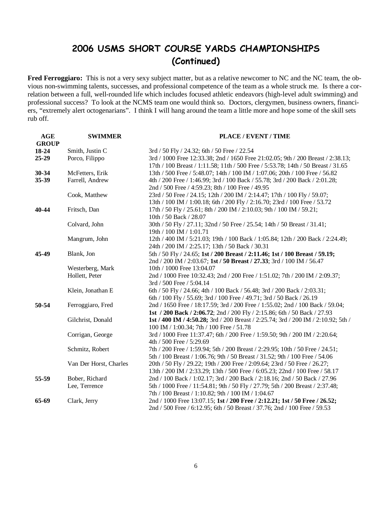### 2006 USMS SHORT COURSE YARDS CHAMPIONSHIPS (Continued)

Fred Ferroggiaro: This is not a very sexy subject matter, but as a relative newcomer to NC and the NC team, the obvious non-swimming talents, successes, and professional competence of the team as a whole struck me. Is there a correlation between a full, well-rounded life which includes focused athletic endeavors (high-level adult swimming) and professional success? To look at the NCMS team one would think so. Doctors, clergymen, business owners, financiers, "extremely alert octogenarians". I think I will hang around the team a little more and hope some of the skill sets rub off.

| <b>AGE</b>   | <b>SWIMMER</b>         | PLACE / EVENT / TIME                                                              |
|--------------|------------------------|-----------------------------------------------------------------------------------|
| <b>GROUP</b> |                        |                                                                                   |
| 18-24        | Smith, Justin C        | 3rd / 50 Fly / 24.32; 6th / 50 Free / 22.54                                       |
| 25-29        | Porco, Filippo         | 3rd / 1000 Free 12:33.38; 2nd / 1650 Free 21:02.05; 9th / 200 Breast / 2:38.13;   |
|              |                        | 17th / 100 Breast / 1:11.58; 11th / 500 Free / 5:53.78; 14th / 50 Breast / 31.65  |
| 30-34        | McFetters, Erik        | 13th / 500 Free / 5:48.07; 14th / 100 IM / 1:07.06; 20th / 100 Free / 56.82       |
| 35-39        | Farrell, Andrew        | 4th / 200 Free / 1:46.99; 3rd / 100 Back / 55.78; 3rd / 200 Back / 2:01.28;       |
|              |                        | 2nd / 500 Free / 4:59.23; 8th / 100 Free / 49.95                                  |
|              | Cook, Matthew          | 23rd / 50 Free / 24.15; 12th / 200 IM / 2:14.47; 17th / 100 Fly / 59.07;          |
|              |                        | 13th / 100 IM / 1:00.18; 6th / 200 Fly / 2:16.70; 23rd / 100 Free / 53.72         |
| 40-44        | Fritsch, Dan           | 17th / 50 Fly / 25.61; 8th / 200 IM / 2:10.03; 9th / 100 IM / 59.21;              |
|              |                        | 10th / 50 Back / 28.07                                                            |
|              | Colvard, John          | 30th / 50 Fly / 27.11; 32nd / 50 Free / 25.54; 14th / 50 Breast / 31.41;          |
|              |                        | 19th / 100 IM / 1:01.71                                                           |
|              | Mangrum, John          | 12th / 400 IM / 5:21.03; 19th / 100 Back / 1:05.84; 12th / 200 Back / 2:24.49;    |
|              |                        | 24th / 200 IM / 2:25.17; 13th / 50 Back / 30.31                                   |
| 45-49        | Blank, Jon             | 5th / 50 Fly / 24.65; 1st / 200 Breast / 2:11.46; 1st / 100 Breast / 59.19;       |
|              |                        | 2nd / 200 IM / 2:03.67; 1st / 50 Breast / 27.33; 3rd / 100 IM / 56.47             |
|              | Westerberg, Mark       | 10th / 1000 Free 13:04.07                                                         |
|              | Hollett, Peter         | 2nd / 1000 Free 10:32.43; 2nd / 200 Free / 1:51.02; 7th / 200 IM / 2:09.37;       |
|              |                        | 3rd / 500 Free / 5:04.14                                                          |
|              | Klein, Jonathan E      | 6th / 50 Fly / 24.66; 4th / 100 Back / 56.48; 3rd / 200 Back / 2:03.31;           |
|              |                        | 6th / 100 Fly / 55.69; 3rd / 100 Free / 49.71; 3rd / 50 Back / 26.19              |
| 50-54        | Ferroggiaro, Fred      | 2nd / 1650 Free / 18:17.59; 3rd / 200 Free / 1:55.02; 2nd / 100 Back / 59.04;     |
|              |                        | 1st / 200 Back / 2:06.72; 2nd / 200 Fly / 2:15.86; 6th / 50 Back / 27.93          |
|              | Gilchrist, Donald      | 1st / 400 IM / 4:50.28; 3rd / 200 Breast / 2:25.74; 3rd / 200 IM / 2:10.92; 5th / |
|              |                        | 100 IM / 1:00.34; 7th / 100 Free / 51.78                                          |
|              | Corrigan, George       | 3rd / 1000 Free 11:37.47; 6th / 200 Free / 1:59.50; 9th / 200 IM / 2:20.64;       |
|              |                        | 4th / 500 Free / 5:29.69                                                          |
|              | Schmitz, Robert        | 7th / 200 Free / 1:59.94; 5th / 200 Breast / 2:29.95; 10th / 50 Free / 24.51;     |
|              |                        | 5th / 100 Breast / 1:06.76; 9th / 50 Breast / 31.52; 9th / 100 Free / 54.06       |
|              | Van Der Horst, Charles | 20th / 50 Fly / 29.22; 19th / 200 Free / 2:09.64; 23rd / 50 Free / 26.27;         |
|              |                        | 13th / 200 IM / 2:33.29; 13th / 500 Free / 6:05.23; 22nd / 100 Free / 58.17       |
| 55-59        | Bober, Richard         | 2nd / 100 Back / 1:02.17; 3rd / 200 Back / 2:18.16; 2nd / 50 Back / 27.96         |
|              | Lee, Terrence          | 5th / 1000 Free / 11:54.81; 9th / 50 Fly / 27.79; 5th / 200 Breast / 2:37.48;     |
|              |                        | 7th / 100 Breast / 1:10.82; 9th / 100 IM / 1:04.67                                |
| 65-69        | Clark, Jerry           | 2nd / 1000 Free 13:07.15; 1st / 200 Free / 2:12.21; 1st / 50 Free / 26.52;        |
|              |                        | 2nd / 500 Free / 6:12.95; 6th / 50 Breast / 37.76; 2nd / 100 Free / 59.53         |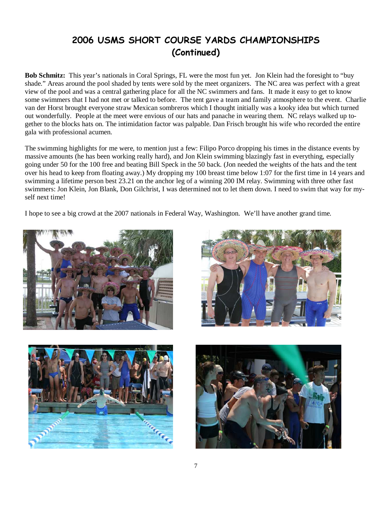### 2006 USMS SHORT COURSE YARDS CHAMPIONSHIPS (Continued)

**Bob Schmitz:** This year's nationals in Coral Springs, FL were the most fun yet. Jon Klein had the foresight to "buy shade." Areas around the pool shaded by tents were sold by the meet organizers. The NC area was perfect with a great view of the pool and was a central gathering place for all the NC swimmers and fans. It made it easy to get to know some swimmers that I had not met or talked to before. The tent gave a team and family atmosphere to the event. Charlie van der Horst brought everyone straw Mexican sombreros which I thought initially was a kooky idea but which turned out wonderfully. People at the meet were envious of our hats and panache in wearing them. NC relays walked up together to the blocks hats on. The intimidation factor was palpable. Dan Frisch brought his wife who recorded the entire gala with professional acumen.

The swimming highlights for me were, to mention just a few: Filipo Porco dropping his times in the distance events by massive amounts (he has been working really hard), and Jon Klein swimming blazingly fast in everything, especially going under 50 for the 100 free and beating Bill Speck in the 50 back. (Jon needed the weights of the hats and the tent over his head to keep from floating away.) My dropping my 100 breast time below 1:07 for the first time in 14 years and swimming a lifetime person best 23.21 on the anchor leg of a winning 200 IM relay. Swimming with three other fast swimmers: Jon Klein, Jon Blank, Don Gilchrist, I was determined not to let them down. I need to swim that way for myself next time!

I hope to see a big crowd at the 2007 nationals in Federal Way, Washington. We'll have another grand time.







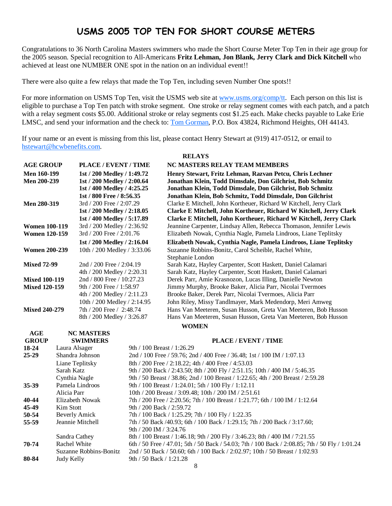### USMS 2005 TOP TEN FOR SHORT COURSE METERS

Congratulations to 36 North Carolina Masters swimmers who made the Short Course Meter Top Ten in their age group for the 2005 season. Special recognition to All-Americans **Fritz Lehman, Jon Blank, Jerry Clark and Dick Kitchell** who achieved at least one NUMBER ONE spot in the nation on an individual event!!

There were also quite a few relays that made the Top Ten, including seven Number One spots!!

For more information on USMS Top Ten, visit the USMS web site at www.usms.org/comp/tt. Each person on this list is eligible to purchase a Top Ten patch with stroke segment. One stroke or relay segment comes with each patch, and a patch with a relay segment costs \$5.00. Additional stroke or relay segments cost \$1.25 each. Make checks payable to Lake Erie LMSC, and send your information and the check to: Tom Gorman, P.O. Box 43824, Richmond Heights, OH 44143.

If your name or an event is missing from this list, please contact Henry Stewart at (919) 417-0512, or email to hstewart@hcwbenefits.com.

#### **RELAYS**

| <b>AGE GROUP</b>     | PLACE / EVENT / TIME        | NC MASTERS RELAY TEAM MEMBERS                                       |  |
|----------------------|-----------------------------|---------------------------------------------------------------------|--|
| Men 160-199          | 1st / 200 Medley / 1:49.72  | Henry Stewart, Fritz Lehman, Razvan Petcu, Chris Lechner            |  |
| <b>Men 200-239</b>   | 1st / 200 Medley / 2:00.64  | Jonathan Klein, Todd Dimsdale, Don Gilchrist, Bob Schmitz           |  |
|                      | 1st / 400 Medley / 4:25.25  | Jonathan Klein, Todd Dimsdale, Don Gilchrist, Bob Schmitz           |  |
|                      | 1st / 800 Free / 8:56.35    | Jonathan Klein, Bob Schmitz, Todd Dimsdale, Don Gilchrist           |  |
| <b>Men 280-319</b>   | 3rd / 200 Free / 2:07.29    | Clarke E Mitchell, John Kortheuer, Richard W Kitchell, Jerry Clark  |  |
|                      | 1st / 200 Medley / 2:18.05  | Clarke E Mitchell, John Kortheuer, Richard W Kitchell, Jerry Clark  |  |
|                      | 1st / 400 Medley / 5:17.89  | Clarke E Mitchell, John Kortheuer, Richard W Kitchell, Jerry Clark  |  |
| <b>Women 100-119</b> | 3rd / 200 Medley / 2:36.92  | Jeannine Carpenter, Lindsay Allen, Rebecca Thomason, Jennifer Lewis |  |
| <b>Women 120-159</b> | 3rd / 200 Free / 2:01.76    | Elizabeth Nowak, Cynthia Nagle, Pamela Lindroos, Liane Teplitsky    |  |
|                      | 1st / 200 Medley / 2:16.04  | Elizabeth Nowak, Cynthia Nagle, Pamela Lindroos, Liane Teplitsky    |  |
| <b>Women 200-239</b> | 10th / 200 Medley / 3:33.06 | Suzanne Robbins-Bonitz, Carol Scheible, Rachel White,               |  |
|                      |                             | Stephanie London                                                    |  |
| <b>Mixed 72-99</b>   | 2nd / 200 Free $/ 2:04.19$  | Sarah Katz, Hayley Carpenter, Scott Haskett, Daniel Calamari        |  |
|                      | 4th / 200 Medley / 2:20.31  | Sarah Katz, Hayley Carpenter, Scott Haskett, Daniel Calamari        |  |
| <b>Mixed 100-119</b> | 2nd / 800 Free / 10:27.23   | Derek Parr, Amie Krasnozon, Lucas Illing, Danielle Newton           |  |
| <b>Mixed 120-159</b> | 9th / 200 Free / 1:58.97    | Jimmy Murphy, Brooke Baker, Alicia Parr, Nicolai Tvermoes           |  |
|                      | 4th / 200 Medley / 2:11.23  | Brooke Baker, Derek Parr, Nicolai Tvermoes, Alicia Parr             |  |
|                      | 10th / 200 Medley / 2:14.95 | John Riley, Missy Tandlmayer, Mark Medendorp, Meri Amweg            |  |
| <b>Mixed 240-279</b> | 7th / 200 Free / 2:48.74    | Hans Van Meeteren, Susan Husson, Greta Van Meeteren, Bob Husson     |  |
|                      | 8th / 200 Medley / 3:26.87  | Hans Van Meeteren, Susan Husson, Greta Van Meeteren, Bob Husson     |  |
|                      |                             | <b>WOMEN</b>                                                        |  |

| AGE          | <b>NC MASTERS</b>      |                                                                                                |
|--------------|------------------------|------------------------------------------------------------------------------------------------|
| <b>GROUP</b> | <b>SWIMMERS</b>        | PLACE / EVENT / TIME                                                                           |
| 18-24        | Laura Alsager          | 9th / 100 Breast / 1:26.29                                                                     |
| $25 - 29$    | Shandra Johnson        | 2nd / 100 Free / 59.76; 2nd / 400 Free / 36.48; 1st / 100 IM / 1:07.13                         |
|              | Liane Teplitsky        | 8th / 200 Free / 2:18.22; 4th / 400 Free / 4:53.03                                             |
|              | Sarah Katz             | 9th / 200 Back / 2:43.50; 8th / 200 Fly / 2:51.15; 10th / 400 IM / 5:46.35                     |
|              | Cynthia Nagle          | 9th / 50 Breast / 38.86; 2nd / 100 Breast / 1:22.65; 4th / 200 Breast / 2:59.28                |
| $35 - 39$    | Pamela Lindroos        | 9th / 100 Breast / 1:24.01; 5th / 100 Fly / 1:12.11                                            |
|              | Alicia Parr            | 10th / 200 Breast / 3:09.48; 10th / 200 IM / 2:51.61                                           |
| 40-44        | Elizabeth Nowak        | 7th / 200 Free / 2:20.56; 7th / 100 Breast / 1:21.77; 6th / 100 IM / 1:12.64                   |
| 45-49        | Kim Stott              | 9th / 200 Back / 2:59.72                                                                       |
| 50-54        | <b>Beverly Amick</b>   | 7th / 100 Back / 1:25.29; 7th / 100 Fly / 1:22.35                                              |
| 55-59        | Jeannie Mitchell       | 7th / 50 Back /40.93; 6th / 100 Back / 1:29.15; 7th / 200 Back / 3:17.60;                      |
|              |                        | 9th / 200 IM / 3:24.76                                                                         |
|              | Sandra Cathey          | 8th / 100 Breast / 1:46.18; 9th / 200 Fly / 3:46.23; 8th / 400 IM / 7:21.55                    |
| 70-74        | Rachel White           | 6th / 50 Free / 47.01; 5th / 50 Back / 54.03; 7th / 100 Back / 2:08.85; 7th / 50 Fly / 1:01.24 |
|              | Suzanne Robbins-Bonitz | 2nd / 50 Back / 50.60; 6th / 100 Back / 2:02.97; 10th / 50 Breast / 1:02.93                    |
| 80-84        | Judy Kelly             | 9th / 50 Back / 1:21.28                                                                        |
|              |                        | 8                                                                                              |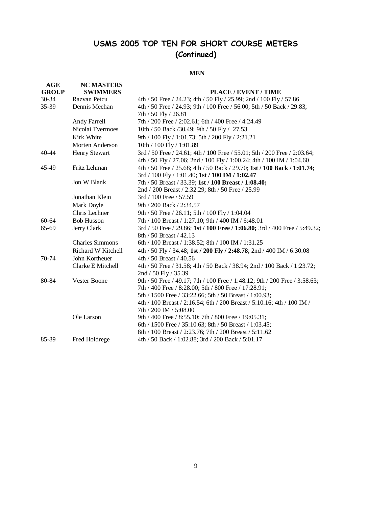### USMS 2005 TOP TEN FOR SHORT COURSE METERS (Continued)

#### **MEN**

| AGE          | <b>NC MASTERS</b>      |                                                                                                                  |
|--------------|------------------------|------------------------------------------------------------------------------------------------------------------|
| <b>GROUP</b> | <b>SWIMMERS</b>        | PLACE / EVENT / TIME                                                                                             |
| 30-34        | Razvan Petcu           | 4th / 50 Free / 24.23; 4th / 50 Fly / 25.99; 2nd / 100 Fly / 57.86                                               |
| 35-39        | Dennis Meehan          | 4th / 50 Free / 24.93; 9th / 100 Free / 56.00; 5th / 50 Back / 29.83;                                            |
|              |                        | 7th / 50 Fly / 26.81                                                                                             |
|              | Andy Farrell           | 7th / 200 Free / 2:02.61; 6th / 400 Free / 4:24.49                                                               |
|              | Nicolai Tvermoes       | 10th / 50 Back / 30.49; 9th / 50 Fly / 27.53                                                                     |
|              | Kirk White             | 9th / 100 Fly / 1:01.73; 5th / 200 Fly / 2:21.21                                                                 |
|              | Morten Anderson        | 10th / 100 Fly / 1:01.89                                                                                         |
| 40-44        | Henry Stewart          | 3rd / 50 Free / 24.61; 4th / 100 Free / 55.01; 5th / 200 Free / 2:03.64;                                         |
|              |                        | 4th / 50 Fly / 27.06; 2nd / 100 Fly / 1:00.24; 4th / 100 IM / 1:04.60                                            |
| 45-49        | Fritz Lehman           | 4th / 50 Free / 25.68; 4th / 50 Back / 29.70; 1st / 100 Back / 1:01.74;                                          |
|              |                        | 3rd / 100 Fly / 1:01.40; 1st / 100 IM / 1:02.47                                                                  |
|              | Jon W Blank            | 7th / 50 Breast / 33.39; 1st / 100 Breast / 1:08.40;                                                             |
|              |                        | 2nd / 200 Breast / 2:32.29; 8th / 50 Free / 25.99                                                                |
|              | Jonathan Klein         | 3rd / 100 Free / 57.59                                                                                           |
|              | Mark Doyle             | 9th / 200 Back / 2:34.57                                                                                         |
|              | Chris Lechner          | 9th / 50 Free / 26.11; 5th / 100 Fly / 1:04.04                                                                   |
| 60-64        | <b>Bob Husson</b>      | 7th / 100 Breast / 1:27.10; 9th / 400 IM / 6:48.01                                                               |
| 65-69        | Jerry Clark            | 3rd / 50 Free / 29.86; 1st / 100 Free / 1:06.80; 3rd / 400 Free / 5:49.32;                                       |
|              |                        | 8th / 50 Breast / 42.13                                                                                          |
|              | <b>Charles Simmons</b> | 6th / 100 Breast / 1:38.52; 8th / 100 IM / 1:31.25                                                               |
|              | Richard W Kitchell     | 4th / 50 Fly / 34.48; 1st / 200 Fly / 2:48.78; 2nd / 400 IM / 6:30.08                                            |
| 70-74        | John Kortheuer         | 4th / 50 Breast / 40.56                                                                                          |
|              | Clarke E Mitchell      | 4th / 50 Free / 31.58; 4th / 50 Back / 38.94; 2nd / 100 Back / 1:23.72;                                          |
|              |                        | 2nd / 50 Fly / 35.39                                                                                             |
| 80-84        | Vester Boone           | 9th / 50 Free / 49.17; 7th / 100 Free / 1:48.12; 9th / 200 Free / 3:58.63;                                       |
|              |                        | 7th / 400 Free / 8:28.00; 5th / 800 Free / 17:28.91;                                                             |
|              |                        | 5th / 1500 Free / 33:22.66; 5th / 50 Breast / 1:00.93;                                                           |
|              |                        | 4th / 100 Breast / 2:16.54; 6th / 200 Breast / 5:10.16; 4th / 100 IM /                                           |
|              |                        | 7th / 200 IM / 5:08.00                                                                                           |
|              | Ole Larson             | 9th / 400 Free / 8:55.10; 7th / 800 Free / 19:05.31;                                                             |
|              |                        | 6th / 1500 Free / 35:10.63; 8th / 50 Breast / 1:03.45;<br>8th / 100 Breast / 2:23.76; 7th / 200 Breast / 5:11.62 |
| 85-89        | Fred Holdrege          | 4th / 50 Back / 1:02.88; 3rd / 200 Back / 5:01.17                                                                |
|              |                        |                                                                                                                  |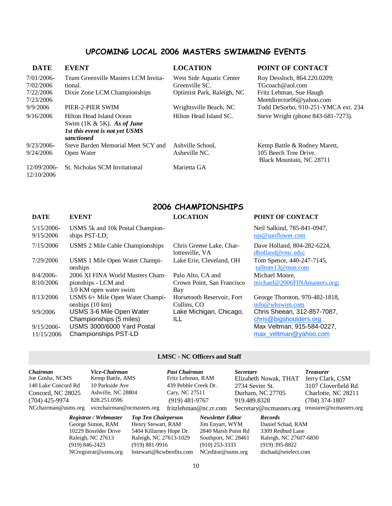### UPCOMING LOCAL 2006 MASTERS SWIMMING EVENTS

| <b>DATE</b>               | <b>EVENT</b>                                              | <b>LOCATION</b>            | POINT OF CONTACT                                  |
|---------------------------|-----------------------------------------------------------|----------------------------|---------------------------------------------------|
| 7/01/2006-                | Team Greenville Masters LCM Invita-                       | West Side Aquatic Center   | Roy Dessloch, 864.220.0209;                       |
| 7/02/2006                 | tional.                                                   | Greenville SC.             | $T$ Gcoach@aol.com                                |
| 7/22/2006                 | Dixie Zone LCM Championships                              | Optimist Park, Raleigh, NC | Fritz Lehman, Sue Haugh                           |
| 7/23/2006                 |                                                           |                            | Meetdirector06@yahoo.com                          |
| 9/9/2006                  | PIER-2-PIER SWIM                                          | Wrightsville Beach, NC     | Todd DeSorbo, 910-251-YMCA ext. 234               |
| 9/16/2006                 | Hilton Head Island Ocean<br>Swim $(1K & 5K)$ . As of June | Hilton Head Island SC.     | Steve Wright (phone 843-681-7273).                |
|                           | 1st this event is not yet USMS<br>sanctioned              |                            |                                                   |
| 9/23/2006-                | Steve Barden Memorial Meet SCY and                        | Ashville School,           | Kemp Battle & Rodney Marett,                      |
| 9/24/2006                 | Open Water                                                | Asheville NC.              | 105 Beech Tree Drive.<br>Black Mountain, NC 28711 |
| 12/09/2006-<br>12/10/2006 | St. Nicholas SCM Invitational                             | Marietta GA                |                                                   |

### 2006 CHAMPIONSHIPS

| <b>DATE</b>                | <b>EVENT</b>                                                 | <b>LOCATION</b>                             | POINT OF CONTACT                                      |
|----------------------------|--------------------------------------------------------------|---------------------------------------------|-------------------------------------------------------|
| $5/15/2006$ -<br>9/15/2006 | USMS 5k and 10k Postal Champion-<br>ships PST-LD;            |                                             | Neil Salkind, 785-841-0947,<br>njs@sunflower.com      |
| 7/15/2006                  | USMS 2 Mile Cable Championships                              | Chris Greene Lake, Char-<br>lottesville, VA | Dave Holland, 804-282-6224,<br>dholland@rmc.edu;      |
| 7/29/2006                  | USMS 1 Mile Open Water Champi-<br>onships                    | Lake Erie, Cleveland, OH                    | Tom Spence, 440-247-7145,<br>talltom13@msn.com        |
| $8/4/2006$ -               | 2006 XI FINA World Masters Cham-                             | Palo Alto, CA and                           | Michael Moore,                                        |
| 8/10/2006                  | pionships - LCM and<br>3.0 KM open water swim                | Crown Point, San Francisco<br>Bay           | michael@2006FINAmasters.org;                          |
| 8/13/2006                  | USMS 6+ Mile Open Water Champi-<br>onships $(10 \text{ km})$ | Horsetooth Reservoir, Fort<br>Collins, CO   | George Thornton, 970-482-1818,<br>info@whswim.com     |
| 9/9/2006                   | USMS 3-6 Mile Open Water<br>Championships (5 miles)          | Lake Michigan, Chicago,<br>ILL              | Chris Sheean, 312-857-7087,<br>chris@bigshoulders.org |
| $9/15/2006$ -              | USMS 3000/6000 Yard Postal                                   |                                             | Max Veltman, 915-584-0227,                            |
| 11/15/2006                 | <b>Championships PST-LD</b>                                  |                                             | max veltman@yahoo.com                                 |

### **LMSC - NC Officers and Staff**

| <i>Chairman</i>     | Vice-Chairman              |                            | <b>Past Chairman</b> |                          | <i>Secretary</i> |                         | <b>Treasurer</b>       |
|---------------------|----------------------------|----------------------------|----------------------|--------------------------|------------------|-------------------------|------------------------|
| Joe Gosha, NCMS     | Kemp Battle, AMS           |                            | Fritz Lehman, RAM    |                          |                  | Elizabeth Nowak, THAT   | Jerry Clark, CSM       |
| 140 Lake Concord Rd | 10 Parkside Ave            |                            | 439 Pebble Creek Dr. |                          | 2734 Sevier St.  |                         | 3107 Cloverfield Rd.   |
| Concord, NC 28025   | Ashville, NC 28804         |                            | Cary, NC 27511       |                          |                  | Durham, NC 27705        | Charlotte, NC 28211    |
| $(704)$ 425-9974    | 828.251.0596               |                            | $(919)$ 481-9767     |                          | 919.489.8328     |                         | $(704)$ 374-1807       |
| NCchairman@usms.org | vicechairman@ncmasters.org |                            |                      | fritzlehman@nc.rr.com    |                  | Secretary@ncmasters.org | treasurer@ncmasters.or |
|                     | Registrar / Webmaster      | <b>Top Ten Chairperson</b> |                      | <b>Newsletter Editor</b> |                  | <b>Records</b>          |                        |
|                     | George Simon, RAM          | Henry Stewart, RAM         |                      | Jim Enyart, WYM          |                  | Daniel Schad, RAM       |                        |
|                     | 10229 Boxelder Drive       | 5404 Killarney Hope Dr.    |                      | 2840 Marsh Point Rd      |                  | 3309 Redbud Lane        |                        |

NCregistrar@usms.org hstewart@hcwbenfits.com NCeditor@usms.org dschad@seielect.com

10229 Boxelder Drive 5404 Killarney Hope Dr. 2840 Marsh Point Rd<br>
Raleigh, NC 27613 Raleigh, NC 27613-1029 Southport, NC 28461 Raleigh, NC 27613-1029 Southport, NC 28461 Raleigh, NC 27607-6830<br>(919) 881-9916 (910) 253-3333 (919) 395-8822 (919) 846-2423 (919) 881-9916 (910) 253-3333 (919) 395-8822

zlehman@nc.rr.com Secretary@ncmasters.org treasurer@ncmasters.org *Registrar / Webmaster Top Ten Chairperson Newsletter Editor Records*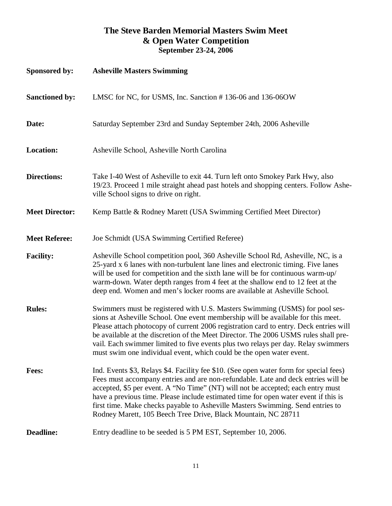### **The Steve Barden Memorial Masters Swim Meet & Open Water Competition September 23-24, 2006**

| Sponsored by:         | <b>Asheville Masters Swimming</b>                                                                                                                                                                                                                                                                                                                                                                                                                                                                            |
|-----------------------|--------------------------------------------------------------------------------------------------------------------------------------------------------------------------------------------------------------------------------------------------------------------------------------------------------------------------------------------------------------------------------------------------------------------------------------------------------------------------------------------------------------|
| <b>Sanctioned by:</b> | LMSC for NC, for USMS, Inc. Sanction #136-06 and 136-06OW                                                                                                                                                                                                                                                                                                                                                                                                                                                    |
| Date:                 | Saturday September 23rd and Sunday September 24th, 2006 Asheville                                                                                                                                                                                                                                                                                                                                                                                                                                            |
| <b>Location:</b>      | Asheville School, Asheville North Carolina                                                                                                                                                                                                                                                                                                                                                                                                                                                                   |
| <b>Directions:</b>    | Take I-40 West of Asheville to exit 44. Turn left onto Smokey Park Hwy, also<br>19/23. Proceed 1 mile straight ahead past hotels and shopping centers. Follow Ashe-<br>ville School signs to drive on right.                                                                                                                                                                                                                                                                                                 |
| <b>Meet Director:</b> | Kemp Battle & Rodney Marett (USA Swimming Certified Meet Director)                                                                                                                                                                                                                                                                                                                                                                                                                                           |
| <b>Meet Referee:</b>  | Joe Schmidt (USA Swimming Certified Referee)                                                                                                                                                                                                                                                                                                                                                                                                                                                                 |
| <b>Facility:</b>      | Asheville School competition pool, 360 Asheville School Rd, Asheville, NC, is a<br>25-yard x 6 lanes with non-turbulent lane lines and electronic timing. Five lanes<br>will be used for competition and the sixth lane will be for continuous warm-up/<br>warm-down. Water depth ranges from 4 feet at the shallow end to 12 feet at the<br>deep end. Women and men's locker rooms are available at Asheville School.                                                                                       |
| <b>Rules:</b>         | Swimmers must be registered with U.S. Masters Swimming (USMS) for pool ses-<br>sions at Asheville School. One event membership will be available for this meet.<br>Please attach photocopy of current 2006 registration card to entry. Deck entries will<br>be available at the discretion of the Meet Director. The 2006 USMS rules shall pre-<br>vail. Each swimmer limited to five events plus two relays per day. Relay swimmers<br>must swim one individual event, which could be the open water event. |
| <b>Fees:</b>          | Ind. Events \$3, Relays \$4. Facility fee \$10. (See open water form for special fees)<br>Fees must accompany entries and are non-refundable. Late and deck entries will be<br>accepted, \$5 per event. A "No Time" (NT) will not be accepted; each entry must<br>have a previous time. Please include estimated time for open water event if this is<br>first time. Make checks payable to Asheville Masters Swimming. Send entries to<br>Rodney Marett, 105 Beech Tree Drive, Black Mountain, NC 28711     |
| <b>Deadline:</b>      | Entry deadline to be seeded is 5 PM EST, September 10, 2006.                                                                                                                                                                                                                                                                                                                                                                                                                                                 |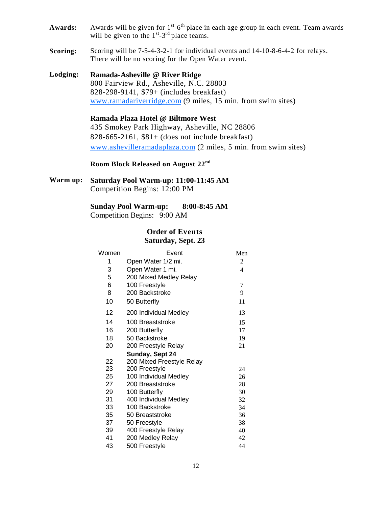- Awards: Awards will be given for 1<sup>st</sup>-6<sup>th</sup> place in each age group in each event. Team awards will be given to the  $1^{st}$ -3<sup>rd</sup> place teams.
- **Scoring:** Scoring will be 7-5-4-3-2-1 for individual events and 14-10-8-6-4-2 for relays. There will be no scoring for the Open Water event.

**Lodging: Ramada-Asheville @ River Ridge**  800 Fairview Rd., Asheville, N.C. 28803 828-298-9141, \$79+ (includes breakfast) www.ramadariverridge.com (9 miles, 15 min. from swim sites)

> **Ramada Plaza Hotel @ Biltmore West**  435 Smokey Park Highway, Asheville, NC 28806 828-665-2161, \$81+ (does not include breakfast) www.ashevilleramadaplaza.com (2 miles, 5 min. from swim sites)

**Room Block Released on August 22nd**

**Warm up: Saturday Pool Warm-up: 11:00-11:45 AM**  Competition Begins: 12:00 PM

> **Sunday Pool Warm-up: 8:00-8:45 AM**  Competition Begins: 9:00 AM

### **Order of Events Saturday, Sept. 23**

| Women | Event                     | Men |
|-------|---------------------------|-----|
| 1     | Open Water 1/2 mi.        | 2   |
| 3     | Open Water 1 mi.          | 4   |
| 5     | 200 Mixed Medley Relay    |     |
| 6     | 100 Freestyle             | 7   |
| 8     | 200 Backstroke            | 9   |
| 10    | 50 Butterfly              | 11  |
| 12    | 200 Individual Medley     | 13  |
| 14    | 100 Breaststroke          | 15  |
| 16    | 200 Butterfly             | 17  |
| 18    | 50 Backstroke             | 19  |
| 20    | 200 Freestyle Relay       | 21  |
|       | Sunday, Sept 24           |     |
| 22    | 200 Mixed Freestyle Relay |     |
| 23    | 200 Freestyle             | 24  |
| 25    | 100 Individual Medley     | 26  |
| 27    | 200 Breaststroke          | 28  |
| 29    | 100 Butterfly             | 30  |
| 31    | 400 Individual Medley     | 32  |
| 33    | 100 Backstroke            | 34  |
| 35    | 50 Breaststroke           | 36  |
| 37    | 50 Freestyle              | 38  |
| 39    | 400 Freestyle Relay       | 40  |
| 41    | 200 Medley Relay          | 42  |
| 43    | 500 Freestyle             | 44  |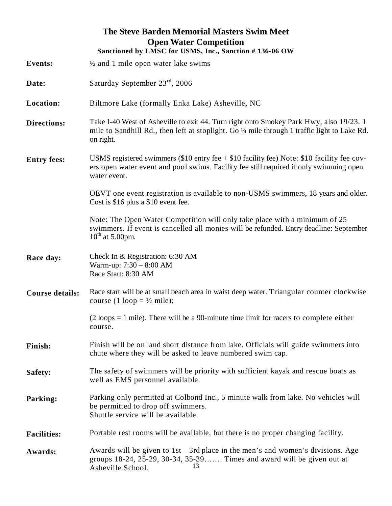|                        | The Steve Barden Memorial Masters Swim Meet<br><b>Open Water Competition</b><br>Sanctioned by LMSC for USMS, Inc., Sanction #136-06 OW                                                                 |
|------------------------|--------------------------------------------------------------------------------------------------------------------------------------------------------------------------------------------------------|
| <b>Events:</b>         | $\frac{1}{2}$ and 1 mile open water lake swims                                                                                                                                                         |
| Date:                  | Saturday September 23 <sup>rd</sup> , 2006                                                                                                                                                             |
| Location:              | Biltmore Lake (formally Enka Lake) Asheville, NC                                                                                                                                                       |
| <b>Directions:</b>     | Take I-40 West of Asheville to exit 44. Turn right onto Smokey Park Hwy, also 19/23. 1<br>mile to Sandhill Rd., then left at stoplight. Go 1/4 mile through 1 traffic light to Lake Rd.<br>on right.   |
| <b>Entry fees:</b>     | USMS registered swimmers (\$10 entry fee $+$ \$10 facility fee) Note: \$10 facility fee cov-<br>ers open water event and pool swims. Facility fee still required if only swimming open<br>water event. |
|                        | OEVT one event registration is available to non-USMS swimmers, 18 years and older.<br>Cost is \$16 plus a \$10 event fee.                                                                              |
|                        | Note: The Open Water Competition will only take place with a minimum of 25<br>swimmers. If event is cancelled all monies will be refunded. Entry deadline: September<br>$10^{th}$ at 5.00pm.           |
| Race day:              | Check In & Registration: 6:30 AM<br>Warm-up: 7:30 - 8:00 AM<br>Race Start: 8:30 AM                                                                                                                     |
| <b>Course details:</b> | Race start will be at small beach area in waist deep water. Triangular counter clockwise<br>course (1 loop = $\frac{1}{2}$ mile);                                                                      |
|                        | $(2 \text{ loops} = 1 \text{ mile})$ . There will be a 90-minute time limit for racers to complete either<br>course.                                                                                   |
| Finish:                | Finish will be on land short distance from lake. Officials will guide swimmers into<br>chute where they will be asked to leave numbered swim cap.                                                      |
| Safety:                | The safety of swimmers will be priority with sufficient kayak and rescue boats as<br>well as EMS personnel available.                                                                                  |
| Parking:               | Parking only permitted at Colbond Inc., 5 minute walk from lake. No vehicles will<br>be permitted to drop off swimmers.<br>Shuttle service will be available.                                          |
| <b>Facilities:</b>     | Portable rest rooms will be available, but there is no proper changing facility.                                                                                                                       |
| Awards:                | Awards will be given to $1st - 3rd$ place in the men's and women's divisions. Age<br>groups 18-24, 25-29, 30-34, 35-39 Times and award will be given out at<br>13<br>Asheville School.                 |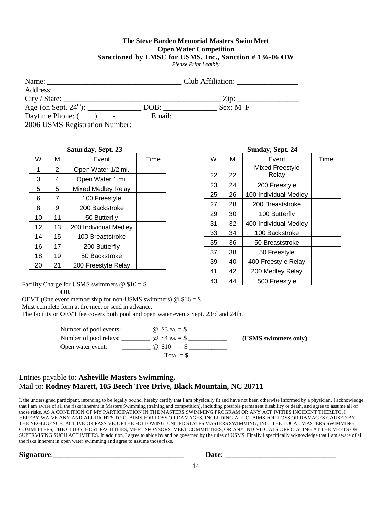#### **The Steve Barden Memorial Masters Swim Meet Open Water Competition Sanctioned by LMSC for USMS, Inc., Sanction # 136-06 OW**

*Please Print Legibly*

|                                  |        | Club Affiliation:           |
|----------------------------------|--------|-----------------------------|
|                                  |        |                             |
| City / State:                    |        | $\overline{\mathrm{Zip: }}$ |
|                                  | DOB:   | $Sex: M \rightarrow F$      |
| Daytime Phone: $(\_\_)$ -        | Email: |                             |
| 2006 USMS Registration Number: _ |        |                             |

| Saturday, Sept. 23 |            |                       |  |
|--------------------|------------|-----------------------|--|
| W                  | М<br>Event |                       |  |
| 1                  | 2          | Open Water 1/2 mi.    |  |
| 3                  | 4          | Open Water 1 mi.      |  |
| 5                  | 5          | Mixed Medley Relay    |  |
| 6                  | 7          | 100 Freestyle         |  |
| 8                  | 9          | 200 Backstroke        |  |
| 10                 | 11         | 50 Butterfly          |  |
| 12                 | 13         | 200 Individual Medley |  |
| 14                 | 15         | 100 Breaststroke      |  |
| 16                 | 17         | 200 Butterfly         |  |
| 18                 | 19         | 50 Backstroke         |  |
| 20                 | 21         | 200 Freestyle Relay   |  |

| Sunday, Sept. 24 |            |                                 |  |  |  |
|------------------|------------|---------------------------------|--|--|--|
| W                | М<br>Event |                                 |  |  |  |
| 22               | 22         | <b>Mixed Freestyle</b><br>Relay |  |  |  |
| 23               | 24         | 200 Freestyle                   |  |  |  |
| 25               | 26         | 100 Individual Medley           |  |  |  |
| 27               | 28         | 200 Breaststroke                |  |  |  |
| 29               | 30         | 100 Butterfly                   |  |  |  |
| 31               | 32         | 400 Individual Medley           |  |  |  |
| 33               | 34         | 100 Backstroke                  |  |  |  |
| 35               | 36         | 50 Breaststroke                 |  |  |  |
| 37               | 38         | 50 Freestyle                    |  |  |  |
| 39               | 40         | 400 Freestyle Relay             |  |  |  |
| 41               | 42         | 200 Medley Relay                |  |  |  |
| 43               | 44         | 500 Freestyle                   |  |  |  |

Facility Charge for USMS swimmers  $@$  \$10 = \$

 **OR** 

OEVT (One event membership for non-USMS swimmers)  $\omega$  \$16 = \$

Must complete form at the meet or send in advance.

The facility or OEVT fee covers both pool and open water events Sept. 23rd and 24th.

| Number of pool events: | @ \$3 ea. $=$ \$   |                      |
|------------------------|--------------------|----------------------|
| Number of pool relays: | @ \$4 ea. $=$ \$   | (USMS swimmers only) |
| Open water event:      | $\omega$ \$10 = \$ |                      |
|                        | $Total = $$        |                      |

### Entries payable to: **Asheville Masters Swimming.**  Mail to: **Rodney Marett, 105 Beech Tree Drive, Black Mountain, NC 28711**

I, the undersigned participant, intending to be legally bound, hereby certify that I am physically fit and have not been otherwise informed by a physician. I acknowledge that I am aware of all the risks inherent in Masters Swimming (training and competition), including possible permanent disability or death, and agree to assume all of those risks. AS A CONDITION OF MY PARTICIPATION IN THE MASTERS SWIMMING PROGRAM OR ANY ACT IVITIES INCIDENT THERETO, I HEREBY WAIVE ANY AND ALL RIGHTS TO CLAIMS FOR LOSS OR DAMAGES, INCLUDING ALL CLAIMS FOR LOSS OR DAMAGES CAUSED BY THE NEGLIGENCE, ACT IVE OR PASSIVE, OF THE FOLLOWING: UNITED STATES MASTERS SWIMMING, INC., THE LOCAL MASTERS SWIMMING COMMITTEES, THE CLUBS, HOST FACILITIES, MEET SPONSORS, MEET COMMITTEES, OR ANY INDIVIDUALS OFFICIATING AT THE MEETS OR SUPERVISING SUCH ACT IVITIES. In addition, I agree to abide by and be governed by the rules of USMS. Finally I specifically acknowledge that I am aware of all the risks inherent in open water swimming and agree to assume those risks.

**Signature**:\_\_\_\_\_\_\_\_\_\_\_\_\_\_\_\_\_\_\_\_\_\_\_\_\_\_\_\_\_\_\_\_\_\_ **Date**: \_\_\_\_\_\_\_\_\_\_\_\_\_\_\_\_\_\_\_\_\_\_\_\_\_\_\_\_\_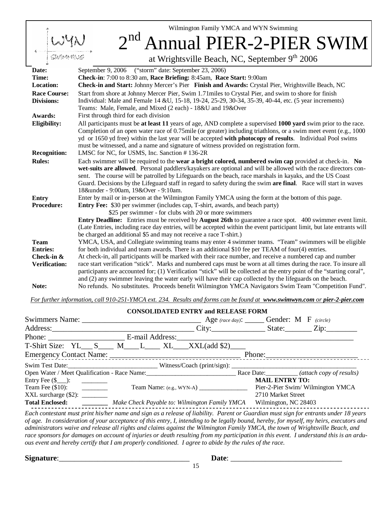Wilmington Family YMCA and WYN Swimming

 $2^{nd}$ nnual PIER-2-PIER SWIM at Wrightsville Beach, NC, September 9<sup>th</sup> 2006 **Date:** September 9, 2006 ("storm" date: September 23, 2006) **Time: Check-in**: 7:00 to 8:30 am, **Race Briefing:** 8:45am, **Race Start:** 9:00am **Location: Check-in and Start:** Johnny Mercer's Pier **Finish and Awards:** Crystal Pier, Wrightsville Beach, NC **Race Course:** Start from shore at Johnny Mercer Pier, Swim 1.71miles to Crystal Pier, and swim to shore for finish **Divisions:** Individual: Male and Female 14 &U, 15-18, 19-24, 25-29, 30-34, 35-39, 40-44, etc. (5 year increments) Teams: Male, Female, and Mixed (2 each) - 18&U and 19&Over **Awards:** First through third for each division **Eligibility:** All participants must be **at least 11** years of age, AND complete a supervised **1000 yard** swim prior to the race. Completion of an open water race of 0.75mile (or greater) including triathlons, or a swim meet event (e.g., 1000 yd or 1650 yd free) within the last year will be accepted **with photocopy of results**. Individual Pool swims must be witnessed, and a name and signature of witness provided on registration form. **Recognition:** LMSC for NC, for USMS, Inc. Sanction # 136-2R **Rules:** Each swimmer will be required to the **wear a bright colored, numbered swim cap** provided at check-in. **No wet-suits are allowed**. Personal paddlers/kayakers are optional and will be allowed with the race directors consent. The course will be patrolled by Lifeguards on the beach, race marshals in kayaks, and the US Coast Guard. Decisions by the Lifeguard staff in regard to safety during the swim **are final**. Race will start in waves 18&under - 9:00am, 19&Over - 9:10am. **Entry Procedure:**  Enter by mail or in-person at the Wilmington Family YMCA using the form at the bottom of this page. **Entry Fee:** \$30 per swimmer (includes cap, T-shirt, awards, and beach party) \$25 per swimmer - for clubs with 20 or more swimmers **Entry Deadline:** Entries must be received by **August 26th** to guarantee a race spot. 400 swimmer event limit. (Late Entries, including race day entries, will be accepted within the event participant limit, but late entrants will be charged an additional \$5 and may not receive a race T-shirt.) **Team Entries:**  YMCA, USA, and Collegiate swimming teams may enter 4 swimmer teams. "Team" swimmers will be eligible for both individual and team awards. There is an additional \$10 fee per TEAM of four(4) entries. **Check-in & Verification:**  At check-in, all participants will be marked with their race number, and receive a numbered cap and number race start verification "stick". Marks and numbered caps must be worn at all times during the race. To insure all participants are accounted for; (1) Verification "stick" will be collected at the entry point of the "starting coral", and (2) any swimmer leaving the water early will have their cap collected by the lifeguards on the beach. **Note:** No refunds. No substitutes. Proceeds benefit Wilmington YMCA Navigators Swim Team "Competition Fund".

*For further information, call 910-251-YMCA ext. 234. Results and forms can be found at www.swimwyn.com or pier-2-pier.com*

| <b>CONSOLIDATED ENTRY and RELEASE FORM</b>                                       |                                               |                                             |                       |                                   |  |
|----------------------------------------------------------------------------------|-----------------------------------------------|---------------------------------------------|-----------------------|-----------------------------------|--|
|                                                                                  |                                               | Age (race day): ______ Gender: M F (circle) |                       |                                   |  |
| Address: Zip: Zip:                                                               |                                               |                                             |                       |                                   |  |
|                                                                                  |                                               |                                             |                       |                                   |  |
| T-Shirt Size: YL___ S____ M____ L____ XL___XXL(add \$2)____                      |                                               |                                             |                       |                                   |  |
|                                                                                  |                                               |                                             |                       |                                   |  |
|                                                                                  |                                               |                                             |                       |                                   |  |
| Open Water / Meet Qualification - Race Name: Race Date: (attach copy of results) |                                               |                                             |                       |                                   |  |
| Entry Fee $(\$ \_):\_ \_ \_$                                                     |                                               |                                             | <b>MAIL ENTRY TO:</b> |                                   |  |
|                                                                                  |                                               | Team Name: $(e.g., WYN-A)$                  |                       | Pier-2-Pier Swim/ Wilmington YMCA |  |
|                                                                                  |                                               |                                             | 2710 Market Street    |                                   |  |
| <b>Total Enclosed:</b>                                                           | Make Check Payable to: Wilmington Family YMCA |                                             | Wilmington, NC 28403  |                                   |  |

*Each contestant must print his/her name and sign as a release of liability. Parent or Guardian must sign for entrants under 18 years of age. In consideration of your acceptance of this entry, I, intending to be legally bound, hereby, for myself, my heirs, executors and administrators waive and release all rights and claims against the Wilmington Family YMCA, the town of Wrightsville Beach, and race sponsors for damages on account of injuries or death resulting from my participation in this event. I understand this is an arduous event and hereby certify that I am properly conditioned. I agree to abide by the rules of the race.* 

15

**Signature**:\_\_\_\_\_\_\_\_\_\_\_\_\_\_\_\_\_\_\_\_\_\_\_\_\_\_\_\_\_\_\_\_\_\_ **Date**: \_\_\_\_\_\_\_\_\_\_\_\_\_\_\_\_\_\_\_\_\_\_\_\_\_\_\_\_\_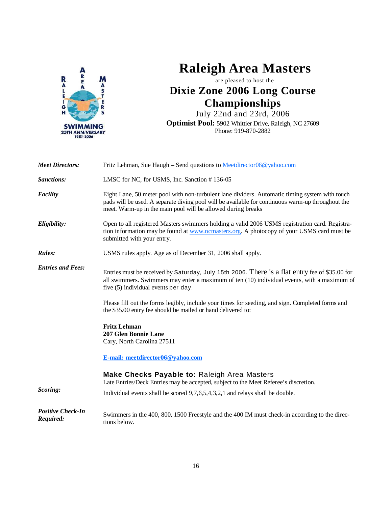

## **Raleigh Area Masters**

are pleased to host the **Dixie Zone 2006 Long Course Championships**

July 22nd and 23rd, 2006 **Optimist Pool:** 5902 Whittier Drive, Raleigh, NC 27609 Phone: 919-870-2882

| <b>Meet Directors:</b>                | Fritz Lehman, Sue Haugh – Send questions to Meetdirector06@yahoo.com                                                                                                                                                                                                |
|---------------------------------------|---------------------------------------------------------------------------------------------------------------------------------------------------------------------------------------------------------------------------------------------------------------------|
| <b>Sanctions:</b>                     | LMSC for NC, for USMS, Inc. Sanction #136-05                                                                                                                                                                                                                        |
| Facility                              | Eight Lane, 50 meter pool with non-turbulent lane dividers. Automatic timing system with touch<br>pads will be used. A separate diving pool will be available for continuous warm-up throughout the<br>meet. Warm-up in the main pool will be allowed during breaks |
| Eligibility:                          | Open to all registered Masters swimmers holding a valid 2006 USMS registration card. Registra-<br>tion information may be found at www.ncmasters.org. A photocopy of your USMS card must be<br>submitted with your entry.                                           |
| Rules:                                | USMS rules apply. Age as of December 31, 2006 shall apply.                                                                                                                                                                                                          |
| <b>Entries and Fees:</b>              | Entries must be received by Saturday, July 15th 2006. There is a flat entry fee of \$35.00 for<br>all swimmers. Swimmers may enter a maximum of ten (10) individual events, with a maximum of<br>five (5) individual events per day.                                |
|                                       | Please fill out the forms legibly, include your times for seeding, and sign. Completed forms and<br>the \$35.00 entry fee should be mailed or hand delivered to:                                                                                                    |
|                                       | <b>Fritz Lehman</b><br>207 Glen Bonnie Lane<br>Cary, North Carolina 27511                                                                                                                                                                                           |
|                                       | E-mail: meetdirector06@yahoo.com                                                                                                                                                                                                                                    |
|                                       | Make Checks Payable to: Raleigh Area Masters<br>Late Entries/Deck Entries may be accepted, subject to the Meet Referee's discretion.                                                                                                                                |
| Scoring:                              | Individual events shall be scored 9,7,6,5,4,3,2,1 and relays shall be double.                                                                                                                                                                                       |
| <b>Positive Check-In</b><br>Required: | Swimmers in the 400, 800, 1500 Freestyle and the 400 IM must check-in according to the direc-<br>tions below.                                                                                                                                                       |